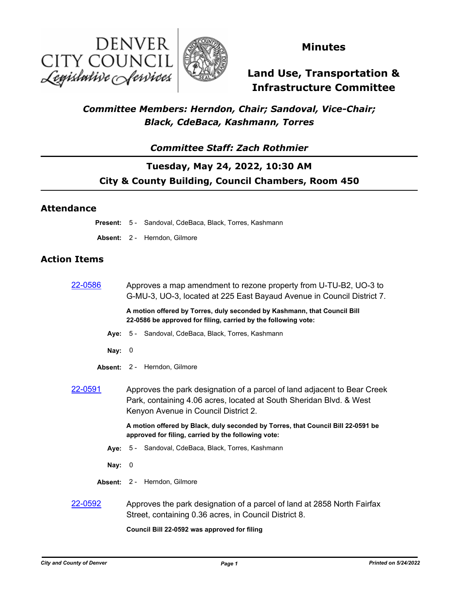



### **Minutes**

# **Land Use, Transportation & Infrastructure Committee**

### *Committee Members: Herndon, Chair; Sandoval, Vice-Chair; Black, CdeBaca, Kashmann, Torres*

### *Committee Staff: Zach Rothmier*

### **Tuesday, May 24, 2022, 10:30 AM City & County Building, Council Chambers, Room 450**

#### **Attendance**

**Present:** 5 - Sandoval, CdeBaca, Black, Torres, Kashmann

**Absent:** 2 - Herndon, Gilmore

#### **Action Items**

| 22-0586        | Approves a map amendment to rezone property from U-TU-B2, UO-3 to<br>G-MU-3, UO-3, located at 225 East Bayaud Avenue in Council District 7.                                             |
|----------------|-----------------------------------------------------------------------------------------------------------------------------------------------------------------------------------------|
|                | A motion offered by Torres, duly seconded by Kashmann, that Council Bill<br>22-0586 be approved for filing, carried by the following vote:                                              |
|                | Aye: 5 - Sandoval, CdeBaca, Black, Torres, Kashmann                                                                                                                                     |
| Nay: $0$       |                                                                                                                                                                                         |
|                | Absent: 2 - Herndon, Gilmore                                                                                                                                                            |
| <u>22-0591</u> | Approves the park designation of a parcel of land adjacent to Bear Creek<br>Park, containing 4.06 acres, located at South Sheridan Blvd. & West<br>Kenyon Avenue in Council District 2. |
|                | A motion offered by Black, duly seconded by Torres, that Council Bill 22-0591 be<br>approved for filing, carried by the following vote:                                                 |
|                | Aye: 5 - Sandoval, CdeBaca, Black, Torres, Kashmann                                                                                                                                     |
| Nay:           | - 0                                                                                                                                                                                     |
|                | Absent: 2 - Herndon, Gilmore                                                                                                                                                            |
| 22-0592        | Approves the park designation of a parcel of land at 2858 North Fairfax<br>Street, containing 0.36 acres, in Council District 8.                                                        |

**Council Bill 22-0592 was approved for filing**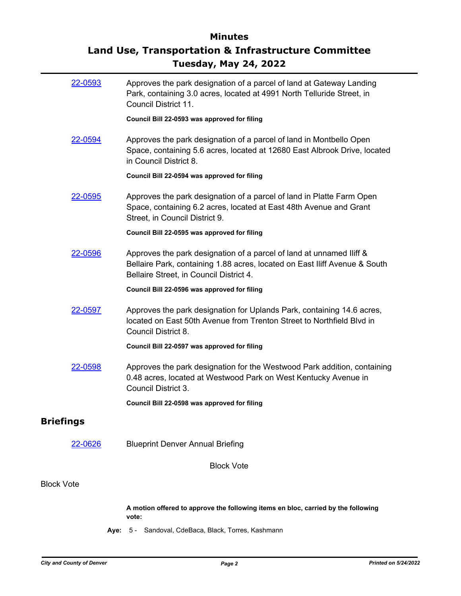# **Minutes Land Use, Transportation & Infrastructure Committee Tuesday, May 24, 2022**

| 22-0593           | Approves the park designation of a parcel of land at Gateway Landing<br>Park, containing 3.0 acres, located at 4991 North Telluride Street, in<br>Council District 11.                        |
|-------------------|-----------------------------------------------------------------------------------------------------------------------------------------------------------------------------------------------|
|                   | Council Bill 22-0593 was approved for filing                                                                                                                                                  |
| 22-0594           | Approves the park designation of a parcel of land in Montbello Open<br>Space, containing 5.6 acres, located at 12680 East Albrook Drive, located<br>in Council District 8.                    |
|                   | Council Bill 22-0594 was approved for filing                                                                                                                                                  |
| 22-0595           | Approves the park designation of a parcel of land in Platte Farm Open<br>Space, containing 6.2 acres, located at East 48th Avenue and Grant<br>Street, in Council District 9.                 |
|                   | Council Bill 22-0595 was approved for filing                                                                                                                                                  |
| 22-0596           | Approves the park designation of a parcel of land at unnamed lliff &<br>Bellaire Park, containing 1.88 acres, located on East Iliff Avenue & South<br>Bellaire Street, in Council District 4. |
|                   | Council Bill 22-0596 was approved for filing                                                                                                                                                  |
| 22-0597           | Approves the park designation for Uplands Park, containing 14.6 acres,<br>located on East 50th Avenue from Trenton Street to Northfield Blvd in<br>Council District 8.                        |
|                   | Council Bill 22-0597 was approved for filing                                                                                                                                                  |
| 22-0598           | Approves the park designation for the Westwood Park addition, containing<br>0.48 acres, located at Westwood Park on West Kentucky Avenue in<br>Council District 3.                            |
|                   | Council Bill 22-0598 was approved for filing                                                                                                                                                  |
| <b>Briefings</b>  |                                                                                                                                                                                               |
| 22-0626           | <b>Blueprint Denver Annual Briefing</b>                                                                                                                                                       |
|                   | <b>Block Vote</b>                                                                                                                                                                             |
| <b>Block Vote</b> |                                                                                                                                                                                               |
|                   | A motion offered to approve the following items en bloc, carried by the following<br>vote:                                                                                                    |

**Aye:** 5 - Sandoval, CdeBaca, Black, Torres, Kashmann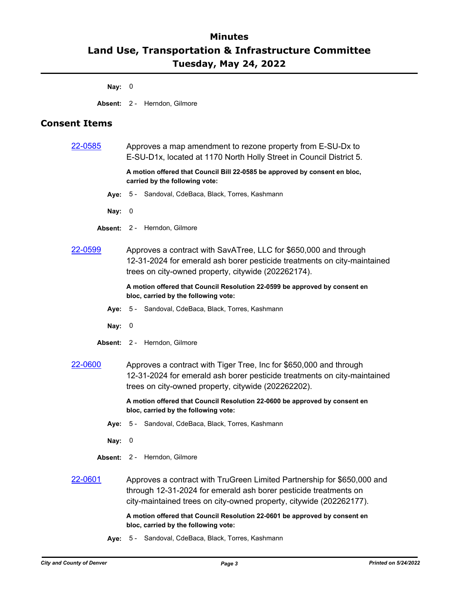# **Minutes Land Use, Transportation & Infrastructure Committee Tuesday, May 24, 2022**

**Nay:** 0

**Absent:** 2 - Herndon, Gilmore

### **Consent Items**

| 22-0585        | Approves a map amendment to rezone property from E-SU-Dx to<br>E-SU-D1x, located at 1170 North Holly Street in Council District 5.                                                                                 |
|----------------|--------------------------------------------------------------------------------------------------------------------------------------------------------------------------------------------------------------------|
|                | A motion offered that Council Bill 22-0585 be approved by consent en bloc,<br>carried by the following vote:                                                                                                       |
|                | Aye: 5 - Sandoval, CdeBaca, Black, Torres, Kashmann                                                                                                                                                                |
| Nay: $0$       |                                                                                                                                                                                                                    |
|                | Absent: 2 - Herndon, Gilmore                                                                                                                                                                                       |
| 22-0599        | Approves a contract with SavATree, LLC for \$650,000 and through<br>12-31-2024 for emerald ash borer pesticide treatments on city-maintained<br>trees on city-owned property, citywide (202262174).                |
|                | A motion offered that Council Resolution 22-0599 be approved by consent en<br>bloc, carried by the following vote:                                                                                                 |
| Ave:           | 5 - Sandoval, CdeBaca, Black, Torres, Kashmann                                                                                                                                                                     |
| Nay: $0$       |                                                                                                                                                                                                                    |
|                | Absent: 2 - Herndon, Gilmore                                                                                                                                                                                       |
| 22-0600        | Approves a contract with Tiger Tree, Inc for \$650,000 and through<br>12-31-2024 for emerald ash borer pesticide treatments on city-maintained<br>trees on city-owned property, citywide (202262202).              |
|                | A motion offered that Council Resolution 22-0600 be approved by consent en<br>bloc, carried by the following vote:                                                                                                 |
|                | Aye: 5 - Sandoval, CdeBaca, Black, Torres, Kashmann                                                                                                                                                                |
| Nay:           | 0                                                                                                                                                                                                                  |
|                | Absent: 2 - Herndon, Gilmore                                                                                                                                                                                       |
| <u>22-0601</u> | Approves a contract with TruGreen Limited Partnership for \$650,000 and<br>through 12-31-2024 for emerald ash borer pesticide treatments on<br>city-maintained trees on city-owned property, citywide (202262177). |
|                | A motion offered that Council Resolution 22-0601 be approved by consent en                                                                                                                                         |

**Aye:** 5 - Sandoval, CdeBaca, Black, Torres, Kashmann

**bloc, carried by the following vote:**